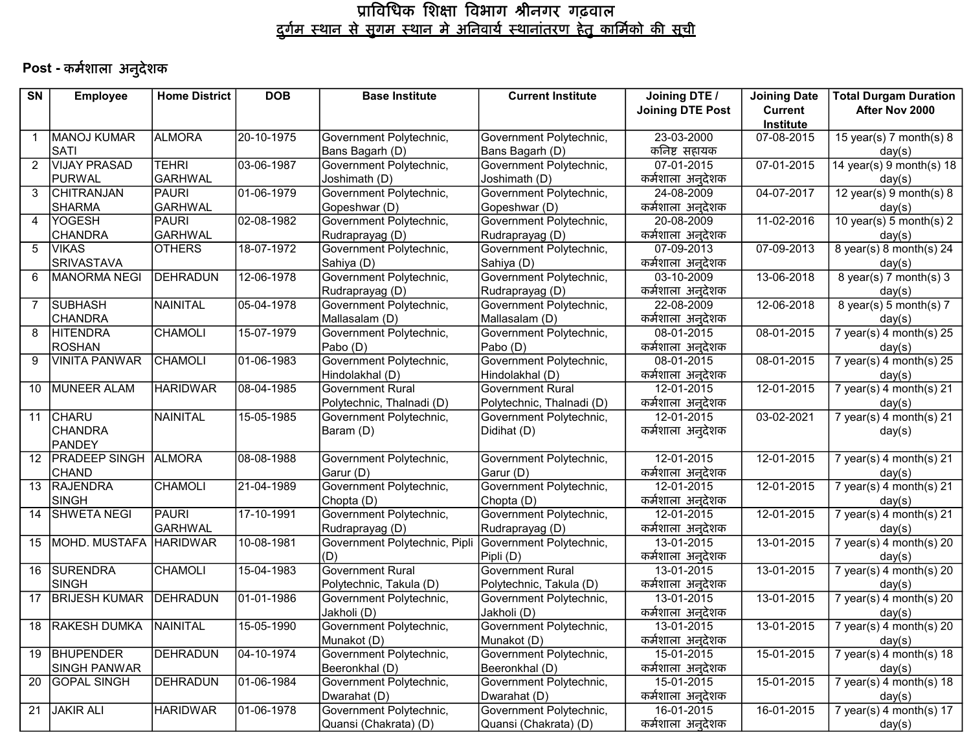# Post - कर्मशाला अनुदेशक

| $\overline{\text{SN}}$ | <b>Employee</b>      | <b>Home District</b> | <b>DOB</b> | <b>Base Institute</b>         | <b>Current Institute</b>  | Joining DTE /             | <b>Joining Date</b> | <b>Total Durgam Duration</b> |
|------------------------|----------------------|----------------------|------------|-------------------------------|---------------------------|---------------------------|---------------------|------------------------------|
|                        |                      |                      |            |                               |                           | <b>Joining DTE Post</b>   | <b>Current</b>      | After Nov 2000               |
|                        |                      |                      |            |                               |                           |                           | Institute           |                              |
| $\mathbf{1}$           | MANOJ KUMAR          | <b>ALMORA</b>        | 20-10-1975 | Government Polytechnic,       | Government Polytechnic,   | 23-03-2000                | 07-08-2015          | 15 year(s) 7 month(s) $8$    |
|                        | SATI                 |                      |            | Bans Bagarh (D)               | Bans Bagarh (D)           | कनिष्ट सहायक              |                     | day(s)                       |
| $\overline{2}$         | <b>VIJAY PRASAD</b>  | <b>TEHRI</b>         | 03-06-1987 | Government Polytechnic,       | Government Polytechnic,   | 07-01-2015                | 07-01-2015          | 14 year(s) $9$ month(s) 18   |
|                        | PURWAL               | <b>GARHWAL</b>       |            | Joshimath (D)                 | Joshimath (D)             | कर्मशाला अनुदेशक          |                     | day(s)                       |
| 3                      | <b>CHITRANJAN</b>    | <b>PAURI</b>         | 01-06-1979 | Government Polytechnic,       | Government Polytechnic,   | 24-08-2009                | 04-07-2017          | 12 year(s) $9$ month(s) $8$  |
|                        | <b>SHARMA</b>        | <b>GARHWAL</b>       |            | Gopeshwar (D)                 | Gopeshwar (D)             | कर्मशाला अनुदेशक          |                     | day(s)                       |
| 4                      | <b>YOGESH</b>        | <b>PAURI</b>         | 02-08-1982 | Government Polytechnic,       | Government Polytechnic,   | 20-08-2009                | 11-02-2016          | 10 year(s) 5 month(s) $2$    |
|                        | <b>CHANDRA</b>       | <b>GARHWAL</b>       |            | Rudraprayag (D)               | Rudraprayag (D)           | कर्मशाला अनुदेशक          |                     | day(s)                       |
| 5                      | <b>VIKAS</b>         | <b>OTHERS</b>        | 18-07-1972 | Government Polytechnic,       | Government Polytechnic,   | 07-09-2013                | 07-09-2013          | 8 year(s) 8 month(s) $24$    |
|                        | <b>SRIVASTAVA</b>    |                      |            | Sahiya (D)                    | Sahiya (D)                | कर्मशाला अनुदेशक          |                     | day(s)                       |
| 6                      | <b>MANORMA NEGI</b>  | DEHRADUN             | 12-06-1978 | Government Polytechnic,       | Government Polytechnic,   | 03-10-2009                | 13-06-2018          | 8 year(s) 7 month(s) $3$     |
|                        |                      |                      |            | Rudraprayag (D)               | Rudraprayag (D)           | कर्मशाला अनुदेशक          |                     | day(s)                       |
| $\overline{7}$         | SUBHASH              | NAINITAL             | 05-04-1978 | Government Polytechnic,       | Government Polytechnic,   | 22-08-2009                | 12-06-2018          | 8 year(s) 5 month(s) $7$     |
|                        | <b>CHANDRA</b>       |                      |            | Mallasalam (D)                | Mallasalam (D)            | कर्मशाला अनुदेशक          |                     | day(s)                       |
| 8                      | <b>HITENDRA</b>      | <b>CHAMOLI</b>       | 15-07-1979 | Government Polytechnic,       | Government Polytechnic,   | 08-01-2015                | 08-01-2015          | 7 year(s) 4 month(s) $25$    |
|                        | <b>ROSHAN</b>        |                      |            | Pabo (D)                      | Pabo (D)                  | कर्मशाला अनूदेशक          |                     | day(s)                       |
| 9                      | VINITA PANWAR        | <b>CHAMOLI</b>       | 01-06-1983 | Government Polytechnic,       | Government Polytechnic,   | 08-01-2015                | 08-01-2015          | 7 year(s) $4$ month(s) $25$  |
|                        |                      |                      |            | Hindolakhal (D)               | Hindolakhal (D)           | कर्मशाला अनुदेशक          |                     | day(s)                       |
| 10                     | MUNEER ALAM          | <b>HARIDWAR</b>      | 08-04-1985 | <b>Government Rural</b>       | <b>Government Rural</b>   | 12-01-2015                | 12-01-2015          | 7 year(s) $4$ month(s) $21$  |
|                        |                      |                      |            | Polytechnic, Thalnadi (D)     | Polytechnic, Thalnadi (D) | कर्मशाला अनुदेशक          |                     | day(s)                       |
| 11                     | <b>CHARU</b>         | NAINITAL             | 15-05-1985 | Government Polytechnic,       | Government Polytechnic,   | 12-01-2015                | $03 - 02 - 2021$    | $7$ year(s) 4 month(s) 21    |
|                        | <b>CHANDRA</b>       |                      |            | Baram (D)                     | Didihat (D)               | कर्मशाला अनुदेशक          |                     | day(s)                       |
|                        | PANDEY               |                      |            |                               |                           |                           |                     |                              |
| 12                     | <b>PRADEEP SINGH</b> | <b>ALMORA</b>        | 08-08-1988 | Government Polytechnic,       | Government Polytechnic,   | 12-01-2015                | 12-01-2015          | 7 year(s) $4$ month(s) $21$  |
|                        | <b>CHAND</b>         |                      |            | Garur (D)                     | Garur (D)                 | कर्मशाला अनुदेशक          |                     | day(s)                       |
| 13                     | <b>RAJENDRA</b>      | <b>CHAMOLI</b>       | 21-04-1989 | Government Polytechnic,       | Government Polytechnic,   | 12-01-2015                | 12-01-2015          | 7 year(s) $4$ month(s) $21$  |
|                        | <b>SINGH</b>         |                      |            | Chopta (D)                    | Chopta (D)                | कर्मशाला अनुदेशक          |                     | day(s)                       |
| 14                     | <b>SHWETA NEGI</b>   | PAURI                | 17-10-1991 | Government Polytechnic,       | Government Polytechnic,   | 12-01-2015                | 12-01-2015          | 7 year(s) $4$ month(s) $21$  |
|                        |                      | GARHWAL              |            | Rudraprayag (D)               | Rudraprayag (D)           | कर्मशाला अनुदेशक          |                     | day(s)                       |
| 15                     | MOHD. MUSTAFA        | <b>HARIDWAR</b>      | 10-08-1981 | Government Polytechnic, Pipli | Government Polytechnic,   | 13-01-2015                | 13-01-2015          | 7 year(s) 4 month(s) 20      |
|                        |                      |                      |            | (D)                           | Pipli (D)                 | कर्मशाला अनुदेशक          |                     | day(s)                       |
| 16                     | SURENDRA             | <b>CHAMOLI</b>       | 15-04-1983 | <b>Government Rural</b>       | <b>Government Rural</b>   | 13-01-2015                | $13 - 01 - 2015$    | $7$ year(s) 4 month(s) 20    |
|                        | SINGH                |                      |            | Polytechnic, Takula (D)       | Polytechnic, Takula (D)   | कर्मशाला अनुदेशक          |                     | day(s)                       |
| 17                     | <b>BRIJESH KUMAR</b> | DEHRADUN             | 01-01-1986 | Government Polytechnic,       | Government Polytechnic,   | 13-01-2015                | 13-01-2015          | 7 year(s) 4 month(s) 20      |
|                        |                      |                      |            | Jakholi (D)                   | Jakholi (D)               | कर्मशाला अनुदेशक          |                     | day(s)                       |
|                        | 18 RAKESH DUMKA      | NAINITAL             | 15-05-1990 | Government Polytechnic,       | Government Polytechnic,   | 13-01-2015                | 13-01-2015          | 7 year(s) $4$ month(s) $20$  |
|                        |                      |                      |            | Munakot (D)                   | Munakot (D)               | कर्मशाला <u>अनु</u> देशक  |                     | day(s)                       |
| 19                     | <b>BHUPENDER</b>     | <b>DEHRADUN</b>      | 04-10-1974 | Government Polytechnic,       | Government Polytechnic,   | 15-01-2015                | 15-01-2015          | 7 year(s) $4$ month(s) $18$  |
|                        | SINGH PANWAR         |                      |            | Beeronkhal (D)                | Beeronkhal (D)            | कर्मशाला अन् <b>दे</b> शक |                     | day(s)                       |
| 20                     | <b>GOPAL SINGH</b>   | DEHRADUN             | 01-06-1984 | Government Polytechnic,       | Government Polytechnic,   | 15-01-2015                | 15-01-2015          | 7 year(s) 4 month(s) 18      |
|                        |                      |                      |            | Dwarahat (D)                  | Dwarahat (D)              | कर्मशाला अन् <b>दे</b> शक |                     | day(s)                       |
| 21                     | JAKIR ALI            | <b>HARIDWAR</b>      | 01-06-1978 | Government Polytechnic,       | Government Polytechnic,   | 16-01-2015                | 16-01-2015          | 7 year(s) 4 month(s) $17$    |
|                        |                      |                      |            | Quansi (Chakrata) (D)         | Quansi (Chakrata) (D)     | कर्मशाला अनुदेशक          |                     | day(s)                       |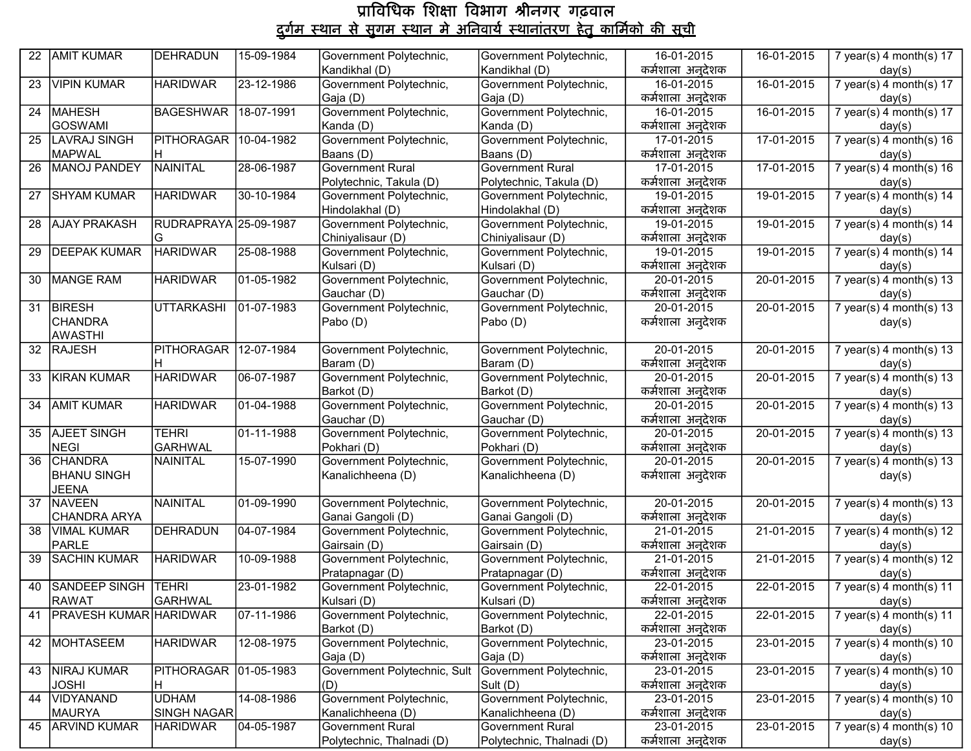| 22              | <b>AMIT KUMAR</b>           | DEHRADUN              | 15-09-1984 | Government Polytechnic,                      | Government Polytechnic,                      | 16-01-2015                | 16-01-2015       | 7 year(s) 4 month(s) $17$           |
|-----------------|-----------------------------|-----------------------|------------|----------------------------------------------|----------------------------------------------|---------------------------|------------------|-------------------------------------|
|                 |                             |                       |            | Kandikhal (D)                                | Kandikhal (D)                                | कर्मशाला अनूदेशक          |                  | day(s)                              |
| 23              | <b>VIPIN KUMAR</b>          | <b>HARIDWAR</b>       | 23-12-1986 | Government Polytechnic,                      | Government Polytechnic,                      | 16-01-2015                | 16-01-2015       | 7 year(s) 4 month(s) $17$           |
|                 |                             |                       |            | Gaja (D)                                     | Gaja (D)                                     | कर्मशाला अनुदेशक          |                  | day(s)                              |
| $\overline{24}$ | MAHESH                      | BAGESHWAR 18-07-1991  |            | Government Polytechnic,                      | Government Polytechnic,                      | 16-01-2015                | 16-01-2015       | 7 year(s) 4 month(s) $17$           |
|                 | GOSWAMI                     |                       |            | Kanda (D)                                    | Kanda (D)                                    | कर्मशाला अनुदेशक          |                  | day(s)                              |
|                 | 25 LAVRAJ SINGH             | PITHORAGAR            | 10-04-1982 | Government Polytechnic,                      | Government Polytechnic,                      | 17-01-2015                | 17-01-2015       | $7$ year(s) 4 month(s) 16           |
|                 | <b>MAPWAL</b>               | IH.                   |            | Baans (D)                                    | Baans (D)                                    | कर्मशाला अन् <b>दे</b> शक |                  | day(s)                              |
| $\overline{26}$ | MANOJ PANDEY                | NAINITAL              | 28-06-1987 | <b>Government Rural</b>                      | Government Rural                             | 17-01-2015                | 17-01-2015       | 7 year(s) 4 month(s) $16$           |
|                 |                             |                       |            | Polytechnic, Takula (D)                      | Polytechnic, Takula (D)                      | कर्मशाला अनुदेशक          |                  | day(s)                              |
| 27              | <b>SHYAM KUMAR</b>          | <b>HARIDWAR</b>       | 30-10-1984 | Government Polytechnic,                      | Government Polytechnic,                      | 19-01-2015                | 19-01-2015       | 7 year(s) $4$ month(s) $14$         |
|                 |                             |                       |            | Hindolakhal (D)                              | Hindolakhal (D)                              | कर्मशाला अनुदेशक          |                  | day(s)                              |
| 28              | <b>AJAY PRAKASH</b>         | RUDRAPRAYA 25-09-1987 |            | Government Polytechnic,                      | Government Polytechnic,                      | 19-01-2015                | 19-01-2015       | 7 year(s) 4 month(s) $14$           |
|                 |                             |                       |            | Chiniyalisaur (D)                            | Chiniyalisaur (D)                            | कर्मशाला अनुदेशक          |                  | day(s)                              |
| $\overline{29}$ | <b>DEEPAK KUMAR</b>         | <b>HARIDWAR</b>       | 25-08-1988 | Government Polytechnic,                      | Government Polytechnic,                      | 19-01-2015                | 19-01-2015       | $7$ year(s) 4 month(s) 14           |
|                 |                             |                       |            | Kulsari (D)                                  | Kulsari (D)                                  | कर्मशाला अनुदेशक          |                  | day(s)                              |
|                 | 30 MANGE RAM                | <b>HARIDWAR</b>       | 01-05-1982 | Government Polytechnic,                      | Government Polytechnic,                      | 20-01-2015                | 20-01-2015       | 7 year(s) $4$ month(s) $13$         |
|                 |                             |                       |            | Gauchar (D)                                  | Gauchar (D)                                  | कर्मशाला अन् <b>दे</b> शक |                  | day(s)                              |
| 31              | <b>BIRESH</b>               | <b>UTTARKASHI</b>     | 01-07-1983 | Government Polytechnic,                      | Government Polytechnic,                      | 20-01-2015                | 20-01-2015       | 7 year(s) 4 month(s) $13$           |
|                 | <b>CHANDRA</b>              |                       |            | Pabo (D)                                     | Pabo (D)                                     | कर्मशाला अनुदेशक          |                  | day(s)                              |
|                 | <b>AWASTHI</b>              |                       |            |                                              |                                              |                           |                  |                                     |
|                 | 32 RAJESH                   | PITHORAGAR 12-07-1984 |            | Government Polytechnic,                      | Government Polytechnic,                      | 20-01-2015                | $20-01-2015$     | 7 year(s) $4$ month(s) $13$         |
|                 |                             |                       |            | Baram (D)                                    | Baram (D)                                    | कर्मशाला अनुदेशक          |                  | day(s)                              |
| 33              | KIRAN KUMAR                 | <b>HARIDWAR</b>       | 06-07-1987 | Government Polytechnic,                      | Government Polytechnic,                      | 20-01-2015                | 20-01-2015       | 7 year(s) 4 month(s) $13$           |
|                 |                             |                       |            | Barkot (D)                                   | Barkot (D)                                   | कर्मशाला अनुदेशक          |                  | day(s)                              |
|                 | 34 AMIT KUMAR               | <b>HARIDWAR</b>       | 01-04-1988 | Government Polytechnic,                      | Government Polytechnic,                      | 20-01-2015                | 20-01-2015       | 7 year(s) 4 month(s) $13$           |
|                 |                             |                       |            | Gauchar (D)                                  | Gauchar (D)                                  | कर्मशाला अनुदेशक          |                  | day(s)                              |
|                 | 35 AJEET SINGH              | <b>TEHRI</b>          | 01-11-1988 | Government Polytechnic,                      | Government Polytechnic,                      | 20-01-2015                | 20-01-2015       | $7$ year(s) 4 month(s) 13           |
|                 | NEGI                        | <b>GARHWAL</b>        |            | Pokhari (D)                                  | Pokhari (D)                                  | कर्मशाला अनुदेशक          |                  | day(s)                              |
| $\overline{36}$ | <b>CHANDRA</b>              | NAINITAL              | 15-07-1990 | Government Polytechnic,                      | Government Polytechnic,                      | 20-01-2015                | $20 - 01 - 2015$ | 7 year(s) $4$ month(s) $13$         |
|                 | <b>BHANU SINGH</b>          |                       |            | Kanalichheena (D)                            | Kanalichheena (D)                            | कर्मशाला अनुदेशक          |                  | day(s)                              |
|                 | <b>JEENA</b><br>37 NAVEEN   | NAINITAL              |            |                                              |                                              | 20-01-2015                | 20-01-2015       |                                     |
|                 | CHANDRA ARYA                |                       | 01-09-1990 | Government Polytechnic,<br>Ganai Gangoli (D) | Government Polytechnic,<br>Ganai Gangoli (D) | कर्मशाला अनुदेशक          |                  | 7 year(s) 4 month(s) $13$           |
|                 | 38 VIMAL KUMAR              | DEHRADUN              | 04-07-1984 | Government Polytechnic,                      | Government Polytechnic,                      | 21-01-2015                | 21-01-2015       | day(s)<br>7 year(s) 4 month(s) $12$ |
|                 | PARLE                       |                       |            | Gairsain (D)                                 | Gairsain (D)                                 | कर्मशाला अनुदेशक          |                  | day(s)                              |
|                 | 39 SACHIN KUMAR             | <b>HARIDWAR</b>       | 10-09-1988 | Government Polytechnic,                      | Government Polytechnic,                      | 21-01-2015                | $21-01-2015$     | $7$ year(s) 4 month(s) 12           |
|                 |                             |                       |            | Pratapnagar (D)                              | Pratapnagar (D)                              | कर्मशाला अनुदेशक          |                  | day(s)                              |
| 40              | SANDEEP SINGH TEHRI         |                       | 23-01-1982 | Government Polytechnic,                      | Government Polytechnic,                      | 22-01-2015                | 22-01-2015       | 7 year(s) 4 month(s) 11             |
|                 | <b>RAWAT</b>                | <b>GARHWAL</b>        |            | Kulsari (D)                                  | Kulsari (D)                                  | कर्मशाल <u>ा अनुदेशक</u>  |                  | day(s)                              |
|                 | 41   PRAVESH KUMAR HARIDWAR |                       | 07-11-1986 | Government Polytechnic,                      | Government Polytechnic,                      | 22-01-2015                | 22-01-2015       | 7 year(s) 4 month(s) $11$           |
|                 |                             |                       |            | Barkot (D)                                   | Barkot (D)                                   | कर्मशाला अनुदेशक          |                  | day(s)                              |
|                 | 42 MOHTASEEM                | <b>HARIDWAR</b>       | 12-08-1975 | Government Polytechnic,                      | Government Polytechnic,                      | 23-01-2015                | 23-01-2015       | 7 year(s) $4$ month(s) $10$         |
|                 |                             |                       |            | Gaja (D)                                     | Gaja (D)                                     | कर्मशाला अनुदेशक          |                  | day(s)                              |
|                 | 43   NIRAJ KUMAR            | PITHORAGAR 01-05-1983 |            | Government Polytechnic, Sult                 | Government Polytechnic,                      | 23-01-2015                | 23-01-2015       | 7 year(s) 4 month(s) 10             |
|                 | <b>JOSHI</b>                | H                     |            | (D)                                          | Sult (D)                                     | कर्मशाला अनुदेशक          |                  | day(s)                              |
|                 | 44   VIDYANAND              | <b>UDHAM</b>          | 14-08-1986 | Government Polytechnic,                      | Government Polytechnic,                      | 23-01-2015                | 23-01-2015       | 7 year(s) $4$ month(s) $10$         |
|                 | MAURYA                      | <b>SINGH NAGAR</b>    |            | Kanalichheena (D)                            | Kanalichheena (D)                            | कर्मशाला अनुदेशक          |                  | day(s)                              |
| 45              | <b>ARVIND KUMAR</b>         | <b>HARIDWAR</b>       | 04-05-1987 | <b>Government Rural</b>                      | Government Rural                             | 23-01-2015                | 23-01-2015       | 7 year(s) $4$ month(s) $10$         |
|                 |                             |                       |            | Polytechnic, Thalnadi (D)                    | Polytechnic, Thalnadi (D)                    | कर्मशाला अनुदेशक          |                  | day(s)                              |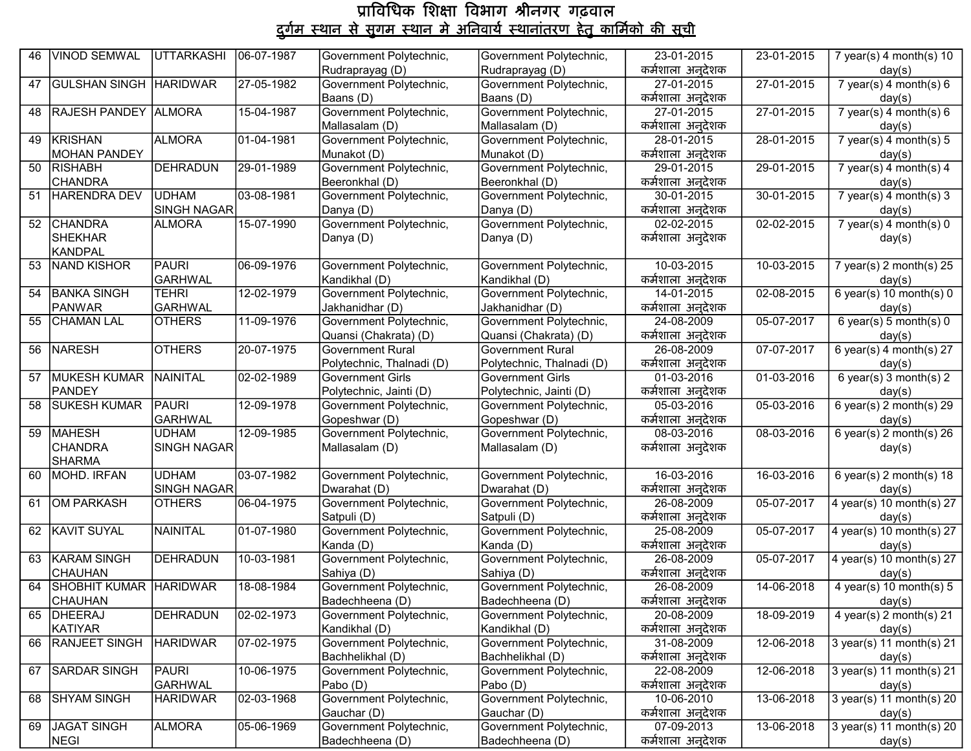| 46 | <b>VINOD SEMWAL</b>       | UTTARKASHI              | 06-07-1987 | Government Polytechnic,                | Government Polytechnic,             | 23-01-2015                     | 23-01-2015       | 7 year(s) $4$ month(s) $10$          |
|----|---------------------------|-------------------------|------------|----------------------------------------|-------------------------------------|--------------------------------|------------------|--------------------------------------|
|    |                           |                         |            | Rudraprayag (D)                        | Rudraprayag (D)                     | कर्मशाला अनुदेशक               |                  | day(s)                               |
| 47 | GULSHAN SINGH HARIDWAR    |                         | 27-05-1982 | Government Polytechnic,                | Government Polytechnic,             | 27-01-2015                     | $27 - 01 - 2015$ | 7 year(s) 4 month(s) $6$             |
|    |                           |                         |            | Baans (D)                              | Baans (D)                           | कर्मशाला अनुदेशक               |                  | day(s)                               |
| 48 | RAJESH PANDEY ALMORA      |                         | 15-04-1987 | Government Polytechnic,                | Government Polytechnic,             | 27-01-2015                     | 27-01-2015       | 7 year(s) 4 month(s) $6$             |
|    |                           |                         |            | Mallasalam (D)                         | Mallasalam (D)                      | कर्मशाला अनुदेशक               |                  | day(s)                               |
| 49 | <b>KRISHAN</b>            | <b>ALMORA</b>           | 01-04-1981 | Government Polytechnic,                | Government Polytechnic,             | 28-01-2015                     | $28-01-2015$     | $7$ year(s) 4 month(s) $5$           |
|    | <b>MOHAN PANDEY</b>       |                         |            | Munakot (D)                            | Munakot (D)                         | कर्मशाला अनुदेशक               |                  | day(s)                               |
|    | 50 RISHABH                | DEHRADUN                | 29-01-1989 | Government Polytechnic,                | Government Polytechnic,             | 29-01-2015                     | 29-01-2015       | $7$ year(s) 4 month(s) 4             |
|    | <b>CHANDRA</b>            |                         |            | Beeronkhal (D)                         | Beeronkhal (D)                      | कर्मशाला अनुदेशक               |                  | day(s)                               |
| 51 | HARENDRA DEV              | <b>UDHAM</b>            | 03-08-1981 | Government Polytechnic,                | Government Polytechnic,             | 30-01-2015                     | $30 - 01 - 2015$ | 7 year(s) 4 month(s) $3$             |
|    |                           | <b>SINGH NAGAR</b>      |            | Danya (D)                              | Danya (D)                           | कर्मशाला अनुदेशक               |                  | day(s)                               |
|    | 52 CHANDRA                | <b>ALMORA</b>           | 15-07-1990 | Government Polytechnic,                | Government Polytechnic,             | 02-02-2015                     | 02-02-2015       | 7 year(s) $4$ month(s) $0$           |
|    | <b>SHEKHAR</b>            |                         |            | Danya (D)                              | Danya (D)                           | कर्मशाला अनुदेशक               |                  | day(s)                               |
|    | <b>KANDPAL</b>            |                         |            |                                        |                                     |                                |                  |                                      |
| 53 | <b>NAND KISHOR</b>        | PAURI                   | 06-09-1976 | Government Polytechnic,                | Government Polytechnic,             | 10-03-2015                     | 10-03-2015       | $\frac{1}{7}$ year(s) 2 month(s) 25  |
|    |                           | <b>GARHWAL</b>          |            | Kandikhal (D)                          | Kandikhal (D)                       | कर्मशाला अनुदेशक               |                  | day(s)                               |
| 54 | <b>BANKA SINGH</b>        | <b>TEHRI</b>            | 12-02-1979 | Government Polytechnic,                | Government Polytechnic,             | 14-01-2015                     | $02 - 08 - 2015$ | 6 year(s) 10 month(s) $0$            |
|    | <b>PANWAR</b>             | <b>GARHWAL</b>          |            | Jakhanidhar (D)                        | Jakhanidhar (D)                     | कर्मशाला अनुदेशक               |                  | day(s)                               |
| 55 | <b>CHAMAN LAL</b>         | <b>OTHERS</b>           | 11-09-1976 | Government Polytechnic,                | Government Polytechnic,             | 24-08-2009                     | 05-07-2017       | 6 year(s) 5 month(s) $0$             |
|    |                           |                         |            | Quansi (Chakrata) (D)                  | Quansi (Chakrata) (D)               | कर्मशाला अनुदेशक               |                  | day(s)                               |
| 56 | <b>NARESH</b>             | <b>OTHERS</b>           | 20-07-1975 | <b>Government Rural</b>                | <b>Government Rural</b>             | 26-08-2009                     | 07-07-2017       | 6 year(s) 4 month(s) $27$            |
|    |                           |                         |            | Polytechnic, Thalnadi (D)              | Polytechnic, Thalnadi (D)           | कर्मशाला अनुदेशक               |                  | day(s)                               |
|    | 57 MUKESH KUMAR           | NAINITAL                | 02-02-1989 | <b>Government Girls</b>                | <b>Government Girls</b>             | $01-03-2016$                   | 01-03-2016       | 6 year(s) $3$ month(s) $2$           |
|    | <b>PANDEY</b>             |                         |            | Polytechnic, Jainti (D)                | Polytechnic, Jainti (D)             | कर्मशाला अनुदेशक               |                  | day(s)                               |
| 58 | <b>SUKESH KUMAR</b>       | PAURI                   | 12-09-1978 | Government Polytechnic,                | Government Polytechnic,             | 05-03-2016                     | 05-03-2016       | 6 year(s) $2$ month(s) $29$          |
|    |                           | <b>GARHWAL</b>          |            | Gopeshwar (D)                          | Gopeshwar (D)                       | कर्मशाला अनुदेशक               |                  | day(s)                               |
| 59 | <b>MAHESH</b>             | <b>UDHAM</b>            | 12-09-1985 | Government Polytechnic,                | Government Polytechnic,             | 08-03-2016                     | $08 - 03 - 2016$ | 6 year(s) $2$ month(s) $26$          |
|    | <b>CHANDRA</b>            | <b>SINGH NAGAR</b>      |            | Mallasalam (D)                         | Mallasalam (D)                      | कर्मशाला अनुदेशक               |                  | day(s)                               |
|    | <b>SHARMA</b>             |                         |            |                                        |                                     |                                |                  |                                      |
|    | 60 MOHD. IRFAN            | <b>UDHAM</b>            | 03-07-1982 | Government Polytechnic,                | Government Polytechnic,             | 16-03-2016                     | 16-03-2016       | 6 year(s) $2$ month(s) $18$          |
|    |                           | <b>SINGH NAGAR</b>      |            | Dwarahat (D)                           | Dwarahat (D)                        | कर्मशाला अनुदेशक               |                  | day(s)                               |
|    | 61 OM PARKASH             | <b>OTHERS</b>           | 06-04-1975 | Government Polytechnic,                | Government Polytechnic,             | 26-08-2009                     | 05-07-2017       | 4 year(s) 10 month(s) $27$           |
|    |                           |                         |            | Satpuli (D)                            | Satpuli (D)                         | कर्मशाला अनुदेशक               |                  | day(s)                               |
| 62 | <b>KAVIT SUYAL</b>        | NAINITAL                | 01-07-1980 | Government Polytechnic,                | Government Polytechnic,             | 25-08-2009                     | 05-07-2017       | 4 year(s) 10 month(s) $27$           |
|    |                           |                         |            | Kanda (D)                              | Kanda (D)                           | कर्मशाला अनुदेशक               |                  | day(s)                               |
| 63 | <b>KARAM SINGH</b>        | DEHRADUN                | 10-03-1981 | Government Polytechnic,                | Government Polytechnic,             | $26 - 08 - 2009$               | 05-07-2017       | 4 year(s) 10 month(s) 27             |
|    | <b>CHAUHAN</b>            |                         |            | Sahiya (D)                             | Sahiya (D)                          | कर्मशाला अनुदेशक               |                  | day(s)                               |
|    | 64 SHOBHIT KUMAR HARIDWAR |                         | 18-08-1984 | Government Polytechnic,                | Government Polytechnic,             | 26-08-2009                     | 14-06-2018       | 4 year(s) 10 month(s) $5$            |
|    | <b>CHAUHAN</b>            |                         |            | Badechheena (D)                        | Badechheena (D)                     | कर्मशाला अनुदेशक               |                  | day(s)                               |
|    | 65   DHEERAJ              | <b>DEHRADUN</b>         | 02-02-1973 | Government Polytechnic,                | Government Polytechnic,             | 20-08-2009                     | 18-09-2019       | 4 year(s) $2$ month(s) $21$          |
|    | <b>KATIYAR</b>            |                         |            | Kandikhal (D)                          | Kandikhal (D)                       | कर्मशाला अनुदेशक               |                  | day(s)                               |
|    | 66 RANJEET SINGH          | <b>HARIDWAR</b>         | 07-02-1975 | Government Polytechnic,                | Government Polytechnic,             | 31-08-2009                     | 12-06-2018       | $3$ year(s) 11 month(s) 21           |
|    |                           |                         |            | Bachhelikhal (D)                       | Bachhelikhal (D)                    | कर्मशाला अनुदेशक               |                  | day(s)                               |
| 67 | <b>SARDAR SINGH</b>       | PAURI<br><b>GARHWAL</b> | 10-06-1975 | Government Polytechnic,<br>Pabo (D)    | Government Polytechnic,<br>Pabo (D) | 22-08-2009<br>कर्मशाला अनुदेशक | 12-06-2018       | $3$ year(s) 11 month(s) 21           |
|    | <b>SHYAM SINGH</b>        | <b>HARIDWAR</b>         |            | Government Polytechnic,                | Government Polytechnic,             | 10-06-2010                     |                  | day(s)                               |
| 68 |                           |                         | 02-03-1968 |                                        | Gauchar (D)                         | कर्मशाला अनुदेशक               | 13-06-2018       | 3 year(s) 11 month(s) 20             |
| 69 | <b>JAGAT SINGH</b>        | <b>ALMORA</b>           | 05-06-1969 | Gauchar (D)<br>Government Polytechnic, | Government Polytechnic,             | 07-09-2013                     | 13-06-2018       | day(s)<br>$3$ year(s) 11 month(s) 20 |
|    | <b>NEGI</b>               |                         |            | Badechheena (D)                        | Badechheena (D)                     | कर्मशाला अनुदेशक               |                  | day(s)                               |
|    |                           |                         |            |                                        |                                     |                                |                  |                                      |